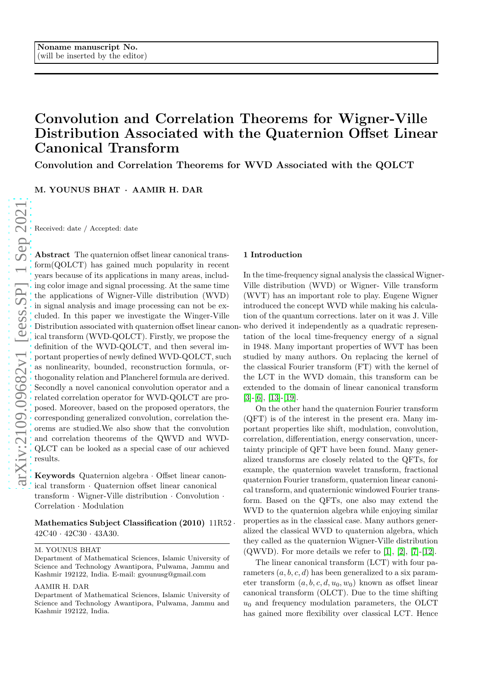# Convolution and Correlation Theorems for Wigner-Ville Distribution Associated with the Quaternion Offset Linear Canonical Transform

Convolution and Correlation Theorems for WVD Associated with the QOLCT

M. YOUNUS BHAT · AAMIR H. DAR

Received: date / Accepted: date

Abstract The quaternion offset linear canonical transform(QOLCT) has gained much popularity in recent years because of its applications in many areas, including color image and signal processing. At the same time the applications of Wigner-Ville distribution (WVD) in signal analysis and image processing can not be excluded. In this paper we investigate the Winger-Ville Distribution associated with quaternion offset linear canon-who derived it independently as a quadratic represenical transform (WVD-QOLCT). Firstly, we propose the definition of the WVD-QOLCT, and then several important properties of newly defined WVD-QOLCT, such as nonlinearity, bounded, reconstruction formula, orthogonality relation and Plancherel formula are derived. Secondly a novel canonical convolution operator and a related correlation operator for WVD-QOLCT are proposed. Moreover, based on the proposed operators, the corresponding generalized convolution, correlation theorems are studied.We also show that the convolution and correlation theorems of the QWVD and WVD-QLCT can be looked as a special case of our achieved results.

Keywords Quaternion algebra · Offset linear canonical transform · Quaternion offset linear canonical transform · Wigner-Ville distribution · Convolution · Correlation · Modulation

# Mathematics Subject Classification  $(2010)$   $11R52 \cdot$  $42C40 \cdot 42C30 \cdot 43A30.$

#### M. YOUNUS BHAT

#### AAMIR H. DAR

#### 1 Introduction

In the time-frequency signal analysis the classical Wigner-Ville distribution (WVD) or Wigner- Ville transform (WVT) has an important role to play. Eugene Wigner introduced the concept WVD while making his calculation of the quantum corrections. later on it was J. Ville tation of the local time-frequency energy of a signal in 1948. Many important properties of WVT has been studied by many authors. On replacing the kernel of the classical Fourier transform (FT) with the kernel of the LCT in the WVD domain, this transform can be extended to the domain of linear canonical transform [\[3\]](#page-7-0)-[\[6\]](#page-7-1), [\[13\]](#page-7-2)-[\[19\]](#page-7-3).

On the other hand the quaternion Fourier transform (QFT) is of the interest in the present era. Many important properties like shift, modulation, convolution, correlation, differentiation, energy conservation, uncertainty principle of QFT have been found. Many generalized transforms are closely related to the QFTs, for example, the quaternion wavelet transform, fractional quaternion Fourier transform, quaternion linear canonical transform, and quaternionic windowed Fourier transform. Based on the QFTs, one also may extend the WVD to the quaternion algebra while enjoying similar properties as in the classical case. Many authors generalized the classical WVD to quaternion algebra, which they called as the quaternion Wigner-Ville distribution  $(QWVD)$ . For more details we refer to [\[1\]](#page-7-4), [\[2\]](#page-7-5), [\[7\]](#page-7-6)-[\[12\]](#page-7-7).

The linear canonical transform (LCT) with four parameters  $(a, b, c, d)$  has been generalized to a six parameter transform  $(a, b, c, d, u_0, w_0)$  known as offset linear canonical transform (OLCT). Due to the time shifting  $u_0$  and frequency modulation parameters, the OLCT has gained more flexibility over classical LCT. Hence

Department of Mathematical Sciences, Islamic University o f Science and Technology Awantipora, Pulwama, Jammu and Kashmir 192122, India. E-mail: gyounusg@gmail.com

Department of Mathematical Sciences, Islamic University o f Science and Technology Awantipora, Pulwama, Jammu and Kashmir 192122, India.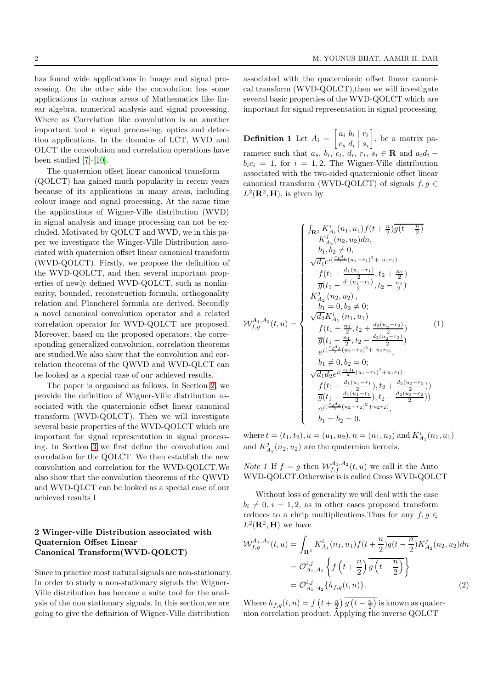has found wide applications in image and signal processing. On the other side the convolution has some applications in various areas of Mathematics like linear algebra, numerical analysis and signal processing. Where as Correlation like convolution is an another important tool n signal processing, optics and detection applications. In the domains of LCT, WVD and OLCT the convolution and correlation operations have been studied [\[7\]](#page-7-6)-[\[10\]](#page-7-8).

The quaternion offset linear canonical transform (QOLCT) has gained much popularity in recent years because of its applications in many areas, including colour image and signal processing. At the same time the applications of Wigner-Ville distribution (WVD) in signal analysis and image processing can not be excluded. Motivated by QOLCT and WVD, we in this paper we investigate the Winger-Ville Distribution associated with quaternion offset linear canonical transform (WVD-QOLCT). Firstly, we propose the definition of the WVD-QOLCT, and then several important properties of newly defined WVD-QOLCT, such as nonlinearity, bounded, reconstruction formula, orthogonality relation and Plancherel formula are derived. Secondly a novel canonical convolution operator and a related correlation operator for WVD-QOLCT are proposed. Moreover, based on the proposed operators, the corresponding generalized convolution, correlation theorems are studied.We also show that the convolution and correlation theorems of the QWVD and WVD-QLCT can be looked as a special case of our achieved results.

The paper is organised as follows. In Section [2,](#page-1-0) we provide the definition of Wigner-Ville distribution associated with the quaternionic offset linear canonical transform (WVD-QOLCT). Then we will investigate several basic properties of the WVD-QOLCT which are important for signal representation in signal processing. In Section [3](#page-3-0) we first define the convolution and correlation for the QOLCT. We then establish the new convolution and correlation for the WVD-QOLCT.We also show that the convolution theorems of the QWVD and WVD-QLCT can be looked as a special case of our achieved results I

## <span id="page-1-0"></span>2 Winger-ville Distribution associated with Quaternion Offset Linear Canonical Transform(WVD-QOLCT)

Since in practice most natural signals are non-stationary. In order to study a non-stationary signals the Wigner-Ville distribution has become a suite tool for the analysis of the non stationary signals. In this section,we are going to give the definition of Wigner-Ville distribution

associated with the quaternionic offset linear canonical transform (WVD-QOLCT),then we will investigate several basic properties of the WVD-QOLCT which are important for signal representation in signal processing.

<span id="page-1-3"></span>**Definition 1** Let  $A_i = \begin{bmatrix} a_i & b_i & r_i \\ a_i & d_i & c_i \end{bmatrix}$  $c_s d_i \mid s_i$  , be a matrix parameter such that  $a_s$ ,  $b_i$ ,  $c_i$ ,  $d_i$ ,  $r_i$ ,  $s_i \in \mathbf{R}$  and  $a_i d_i$  –  $b_i c_i = 1$ , for  $i = 1, 2$ . The Wigner-Ville distribution associated with the two-sided quaternionic offset linear canonical transform (WVD-QOLCT) of signals  $f,g$   $\in$  $L^2(\mathbf{R}^2, \mathbf{H})$ , is given by

<span id="page-1-2"></span>
$$
\mathcal{W}^{A}_{A,0}(t,u) = \begin{cases}\n\int_{\mathbf{R}^{2}} K_{A_{1}}^{i}(n_{1}, u_{1}) f(t + \frac{n}{2}) \overline{g(t - \frac{n}{2})} \\
K_{A_{2}}^{j}(n_{2}, u_{2}) dn, \\
b_{1}, b_{2} \neq 0, \\
\sqrt{d_{1}} e^{i(\frac{c_{1}}{4} (u_{1} - r_{1})^{2} + u_{1}r_{1})} \\
f(t_{1} + \frac{d_{1}(u_{1} - r_{1})}{2}, t_{2} + \frac{n_{2}}{2}) \\
\overline{g}(t_{1} - \frac{d_{1}(u_{1} - r_{1})}{2}, t_{2} - \frac{n_{2}}{2}) \\
K_{A_{2}}^{j}(n_{2}, u_{2}), \\
b_{1} = 0, b_{2} \neq 0; \\
\sqrt{d_{2}} K_{A_{1}}^{i}(n_{1}, u_{1}) \\
f(t_{1} + \frac{n_{1}}{2}, t_{2} + \frac{d_{2}(u_{2} - r_{2})}{2}) \\
\overline{g}(t_{1} - \frac{n_{1}}{2}, t_{2} - \frac{d_{2}(u_{2} - r_{2})}{2}) \\
e^{j(\frac{c_{2}}{2} (u_{2} - r_{2})^{2} + u_{2}r_{2})}, \\
b_{1} \neq 0, b_{2} = 0; \\
\sqrt{d_{1}d_{2}} e^{i(\frac{c_{1}}{4} (u_{1} - r_{1})^{2} + u_{1}r_{1})} \\
f(t_{1} + \frac{d_{1}(u_{1} - r_{1})}{2}, t_{2} + \frac{d_{2}(u_{2} - r_{2})}{2})) \\
\overline{g}(t_{1} - \frac{d_{1}(u_{1} - r_{1})}{2}, t_{2} - \frac{d_{2}(u_{2} - r_{2})}{2}) \\
e^{j(\frac{c_{2}}{2} (u_{2} - r_{2})^{2} + u_{2}r_{2})}, \\
b_{1} = b_{2} = 0.\n\end{cases}
$$

where  $t = (t_1, t_2), u = (u_1, u_2), n = (n_1, n_2)$  and  $K_{A_1}^i(n_1, u_1)$ and  $K_{A_2}^j(n_2, u_2)$  are the quaternion kernels.

*Note 1* If  $f = g$  then  $W_{f,f}^{A_1,A_2}(t, u)$  we call it the Auto WVD-QOLCT.Otherwise is is called Cross WVD-QOLCT

Without loss of generality we will deal with the case  $b_i \neq 0, i = 1, 2$ , as in other cases proposed transform reduces to a chrip multiplications. Thus for any  $f, g \in$  $L^2(\mathbf{R}^2, \mathbf{H})$  we have

<span id="page-1-1"></span>
$$
\mathcal{W}_{f,g}^{A_1, A_2}(t, u) = \int_{\mathbf{R}^2} K_{A_1}^i(n_1, u_1) f(t + \frac{n}{2}) \overline{g(t - \frac{n}{2})} K_{A_2}^j(n_2, u_2) dn
$$
  
=  $\mathcal{O}_{A_1, A_2}^{i, j} \left\{ f\left(t + \frac{n}{2}\right) \overline{g\left(t - \frac{n}{2}\right)} \right\}$   
=  $\mathcal{O}_{A_1, A_2}^{i, j} \{h_{f, g}(t, n)\}.$  (2)

Where  $h_{f,g}(t,n) = f\left(t + \frac{n}{2}\right)g\left(t - \frac{n}{2}\right)$  is known as quaternion correlation product. Applying the inverse QOLCT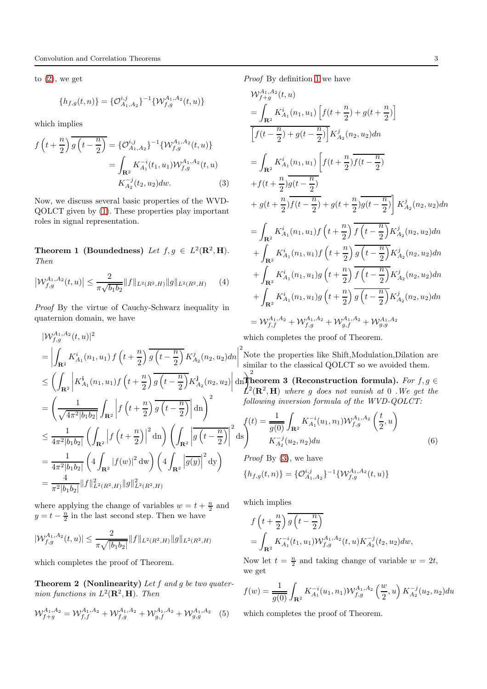to  $(2)$ , we get

$$
\{h_{f,g}(t,n)\} = \{ \mathcal{O}_{A_1,A_2}^{i,j}\}^{-1} \{ \mathcal{W}_{f,g}^{A_1,A_2}(t,u) \}
$$

which implies

<span id="page-2-0"></span>
$$
f\left(t+\frac{n}{2}\right)\overline{g\left(t-\frac{n}{2}\right)} = \{\mathcal{O}_{A_1,A_2}^{i,j}\}^{-1}\{\mathcal{W}_{f,g}^{A_1,A_2}(t,u)\}
$$

$$
= \int_{\mathbf{R}^2} K_{A_1}^{-i}(t_1,u_1)\mathcal{W}_{f,g}^{A_1,A_2}(t,u)
$$

$$
K_{A_2}^{-j}(t_2,u_2)dw. \tag{3}
$$

Now, we discuss several basic properties of the WVD-QOLCT given by [\(1\)](#page-1-2). These properties play important roles in signal representation.

**Theorem 1 (Boundedness)** Let  $f, g \in L^2(\mathbb{R}^2, \mathbb{H})$ . *Then*

$$
\left| \mathcal{W}_{f,g}^{A_1, A_2}(t, u) \right| \le \frac{2}{\pi \sqrt{b_1 b_2}} \| f \|_{L^2(R^2, H)} \| g \|_{L^2(R^2, H)} \tag{4}
$$

*Proof* By the virtue of Cauchy-Schwarz inequality in quaternion domain, we have

$$
|W_{f,g}^{A_1,A_2}(t,u)|^2
$$
  
\n=
$$
\left| \int_{\mathbf{R}^2} K_{A_1}^i(n_1,u_1) f\left(t + \frac{n}{2}\right) \overline{g\left(t - \frac{n}{2}\right)} K_{A_2}^j(n_2, u_2) dn \right|^2
$$
Ni  
\n
$$
\leq \left( \int_{\mathbf{R}^2} \left| K_{A_1}^i(n_1, u_1) f\left(t + \frac{n}{2}\right) \overline{g\left(t - \frac{n}{2}\right)} K_{A_2}^j(n_2, u_2) \right| d\mathbf{n} \right|_{L^2}^2
$$
  
\n=
$$
\left( \frac{1}{\sqrt{4\pi^2 |b_1 b_2|}} \int_{\mathbf{R}^2} \left| f\left(t + \frac{n}{2}\right) \overline{g\left(t - \frac{n}{2}\right)} \right| d\mathbf{n} \right)^2
$$
  
\n
$$
\leq \frac{1}{4\pi^2 |b_1 b_2|} \left( \int_{\mathbf{R}^2} \left| f\left(t + \frac{n}{2}\right) \right|^2 d\mathbf{n} \right) \left( \int_{\mathbf{R}^2} \left| \overline{g\left(t - \frac{n}{2}\right)} \right|^2 d\mathbf{s} \right)^{\{1\}}
$$
  
\n=
$$
\frac{1}{4\pi^2 |b_1 b_2|} \left( 4 \int_{\mathbf{R}^2} |f(w)|^2 d\mathbf{w} \right) \left( 4 \int_{\mathbf{R}^2} \left| \overline{g(y)} \right|^2 d\mathbf{y} \right)
$$
  
\n=
$$
\frac{4}{\pi^2 |b_1 b_2|} \|f\|_{L^2(R^2, H)}^2 \|g\|_{L^2(R^2, H)}^2
$$

where applying the change of variables  $w = t + \frac{n}{2}$  and  $y = t - \frac{n}{2}$  in the last second step. Then we have

$$
|\mathcal{W}_{f,g}^{A_1,A_2}(t,u)| \leq \frac{2}{\pi\sqrt{|b_1b_2|}} \|f\|_{L^2(R^2,H)} \|g\|_{L^2(R^2,H)}
$$

which completes the proof of Theorem.

Theorem 2 (Nonlinearity) *Let* f *and* g *be two quaternion functions in*  $L^2(\mathbf{R}^2, \mathbf{H})$ . *Then* 

$$
\mathcal{W}_{f+g}^{A_1, A_2} = \mathcal{W}_{f,f}^{A_1, A_2} + \mathcal{W}_{f,g}^{A_1, A_2} + \mathcal{W}_{g,f}^{A_1, A_2} + \mathcal{W}_{g,g}^{A_1, A_2} \tag{5}
$$

*Proof* By definition [1](#page-1-3) we have

$$
\mathcal{W}_{f+g}^{A_1, A_2}(t, u)
$$
\n
$$
= \int_{\mathbf{R}^2} K_{A_1}^i(n_1, u_1) \left[ f(t + \frac{n}{2}) + g(t + \frac{n}{2}) \right]
$$
\n
$$
\left[ f(t - \frac{n}{2}) + g(t - \frac{n}{2}) \right] K_{A_2}^j(n_2, u_2) dn
$$
\n
$$
= \int_{\mathbf{R}^2} K_{A_1}^i(n_1, u_1) \left[ f(t + \frac{n}{2}) \overline{f(t - \frac{n}{2})} + f(t + \frac{n}{2}) \overline{g(t - \frac{n}{2})} \right]
$$
\n
$$
+ f(t + \frac{n}{2}) \overline{g(t - \frac{n}{2})} + g(t + \frac{n}{2}) \overline{g(t - \frac{n}{2})} \right] K_{A_2}^j(n_2, u_2) dn
$$
\n
$$
= \int_{\mathbf{R}^2} K_{A_1}^i(n_1, u_1) f\left(t + \frac{n}{2}\right) \overline{f\left(t - \frac{n}{2}\right)} K_{A_2}^j(n_2, u_2) dn
$$
\n
$$
+ \int_{\mathbf{R}^2} K_{A_1}^i(n_1, u_1) f\left(t + \frac{n}{2}\right) \overline{g\left(t - \frac{n}{2}\right)} K_{A_2}^j(n_2, u_2) dn
$$
\n
$$
+ \int_{\mathbf{R}^2} K_{A_1}^i(n_1, u_1) g\left(t + \frac{n}{2}\right) \overline{f\left(t - \frac{n}{2}\right)} K_{A_2}^j(n_2, u_2) dn
$$
\n
$$
+ \int_{\mathbf{R}^2} K_{A_1}^i(n_1, u_1) g\left(t + \frac{n}{2}\right) \overline{g\left(t - \frac{n}{2}\right)} K_{A_2}^j(n_2, u_2) dn
$$
\n
$$
= \mathcal{W}_{f,f}^{A_1, A_2} + \mathcal{W}_{f,g}^{A_1, A_2} + \mathcal{W}_{g,f}^{A_1, A_2} + \mathcal{W}_{g,g}^{A_1, A_2}
$$

which completes the proof of Theorem.

Note the properties like Shift,Modulation,Dilation are similar to the classical QOLCT so we avoided them.

dn<sup>2</sup>heorem 3 (Reconstruction formula). *For*  $f, g \in$  $\mathcal{L}^2(\mathbf{R}^2, \mathbf{H})$  where g does not vanish at 0. We get the *following inversion formula of the WVD-QOLCT:*

$$
f(t) = \frac{1}{g(0)} \int_{\mathbf{R}^2} K_{A_1}^{-i}(u_1, n_1) \mathcal{W}_{f,g}^{A_1, A_2}\left(\frac{t}{2}, u\right)
$$
  

$$
K_{A_2}^{-j}(u_2, n_2) du
$$
 (6)

*Proof* By [\(3\)](#page-2-0), we have  ${h_{f,g}(t,n)} = {\mathcal{O}^{i,j}_{A_1,A_2}}^{-1}\{\mathcal{W}^{A_1,A_2}_{f,g}(t,u)\}$ 

which implies

$$
f\left(t+\frac{n}{2}\right) \overline{g\left(t-\frac{n}{2}\right)}
$$
  
= 
$$
\int_{\mathbf{R}^2} K_{A_1}^{-i}(t_1, u_1) \mathcal{W}_{f,g}^{A_1, A_2}(t, u) K_{A_2}^{-j}(t_2, u_2) dw,
$$

Now let  $t = \frac{n}{2}$  and taking change of variable  $w = 2t$ , we get

$$
f(w) = \frac{1}{g(0)} \int_{\mathbf{R}^2} K_{A_1}^{-i}(u_1, n_1) \mathcal{W}_{f,g}^{A_1, A_2} \left(\frac{w}{2}, u\right) K_{A_2}^{-j}(u_2, n_2) du
$$

<span id="page-2-1"></span>which completes the proof of Theorem.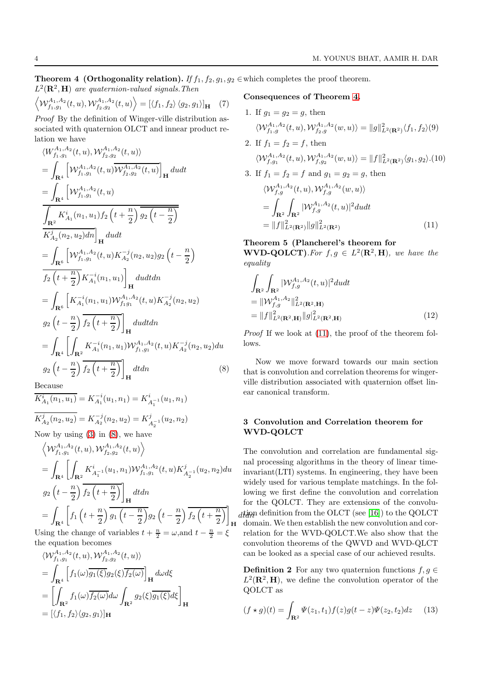**Theorem 4 (Orthogonality relation).** *If*  $f_1$ ,  $f_2$ ,  $g_1$ ,  $g_2$   $\in$  which completes the proof theorem.  $L^2(\mathbf{R}^2, \mathbf{H})$  are quaternion-valued signals. Then

$$
\left\langle \mathcal{W}_{f_1,g_1}^{A_1,A_2}(t,u), \mathcal{W}_{f_2,g_2}^{A_1,A_2}(t,u) \right\rangle = \left[ \langle f_1, f_2 \rangle \langle g_2, g_1 \rangle \right]_{\mathbf{H}} \tag{7}
$$

*Proof* By the definition of Winger-ville distribution associated with quaternion OLCT and innear product relation we have

<span id="page-3-1"></span>
$$
\langle W_{f_1,g_1}^{A_1,A_2}(t,u), W_{f_2,g_2}^{A_1,A_2}(t,u) \rangle
$$
  
\n
$$
= \int_{\mathbf{R}^4} \left[ \mathcal{W}_{f_1,g_1}^{A_1,A_2}(t,u) \overline{\mathcal{W}_{f_2,g_2}^{A_1,A_2}(t,u)} \right]_{\mathbf{H}} du dt
$$
  
\n
$$
= \int_{\mathbf{R}^4} \left[ \mathcal{W}_{f_1,g_1}^{A_1,A_2}(t,u) \overline{\mathcal{W}_{f_2,g_2}^{A_1}(t,u)} \right]_{\mathbf{H}} du dt
$$
  
\n
$$
= \int_{\mathbf{R}^2} K_{A_1}^i(n_1,u_1) f_2 \left( t + \frac{n}{2} \right) \overline{g_2 \left( t - \frac{n}{2} \right)}
$$
  
\n
$$
K_{A_2}^j(n_2,u_2) dn \Big|_{\mathbf{H}} du dt
$$
  
\n
$$
= \int_{\mathbf{R}^6} \left[ \mathcal{W}_{f_1,g_1}^{A_1,A_2}(t,u) K_{A_2}^{-j}(n_2,u_2) g_2 \left( t - \frac{n}{2} \right) \right]
$$
  
\n
$$
= \int_{\mathbf{R}^6} \left[ K_{A_1}^{-i}(n_1,u_1) \mathcal{W}_{f_1,g_1}^{A_1,A_2}(t,u) K_{A_2}^{-j}(n_2,u_2) \right]
$$
  
\n
$$
g_2 \left( t - \frac{n}{2} \right) \overline{f_2 \left( t + \frac{n}{2} \right)} \Big|_{\mathbf{H}} du dt dn
$$
  
\n
$$
= \int_{\mathbf{R}^4} \left[ \int_{\mathbf{R}^2} K_{A_1}^{-i}(n_1,u_1) \mathcal{W}_{f_1,g_1}^{A_1,A_2}(t,u) K_{A_2}^{-j}(n_2,u_2) du \right]
$$
  
\n
$$
g_2 \left( t - \frac{n}{2} \right) \overline{f_2 \left( t + \frac{n}{2} \right)} \Big|_{\mathbf{H}} dt dn
$$
  
\n(8)

Because

$$
\overline{K}_{A_1}^i(n_1, u_1) = K_{A_1}^{-i}(u_1, n_1) = K_{A_1^{-1}}^i(u_1, n_1)
$$
  

$$
\overline{K}_{A_2}^j(n_2, u_2) = K_{A_2}^{-j}(n_2, u_2) = K_{A_2^{-1}}^j(u_2, n_2)
$$

Now by using  $(3)$  in  $(8)$ , we have

$$
\left\langle \mathcal{W}_{f_1, g_1}^{A_1, A_2}(t, u), \mathcal{W}_{f_2, g_2}^{A_1, A_2}(t, u) \right\rangle
$$
  
=  $\int_{\mathbf{R}^4} \left[ \int_{\mathbf{R}^2} K_{A_1^{-1}}^i(u_1, n_1) \mathcal{W}_{f_1, g_1}^{A_1, A_2}(t, u) K_{A_2^{-1}}^j(u_2, n_2) du \right]$   
 $g_2 \left( t - \frac{n}{2} \right) \overline{f_2 \left( t + \frac{n}{2} \right)} \bigg]_{\mathbf{H}} dt dn$   
=  $\int_{\mathbf{R}^4} \left[ f_1 \left( t + \frac{n}{2} \right) \overline{g_1 \left( t - \frac{n}{2} \right)} g_2 \left( t - \frac{n}{2} \right) \overline{f_2 \left( t + \frac{n}{2} \right)} \right]_{\mathbf{H}} d\theta$   
Using the change of variables  $t + \frac{n}{2} = \omega$ , and  $t - \frac{n}{2} = \xi$ 

Using the change of variables  $t +$  $\frac{n}{2} = \omega$ , and  $t \frac{n}{2} = \xi$ the equation becomes

$$
\langle W_{f_1, g_1}^{A_1, A_2}(t, u), W_{f_2, g_2}^{A_1, A_2}(t, u) \rangle
$$
  
= 
$$
\int_{\mathbf{R}^4} \left[ f_1(\omega) \overline{g_1(\xi)} g_2(\xi) \overline{f_2(\omega)} \right]_{\mathbf{H}} d\omega d\xi
$$
  
= 
$$
\left[ \int_{\mathbf{R}^2} f_1(\omega) \overline{f_2(\omega)} d\omega \int_{\mathbf{R}^2} g_2(\xi) \overline{g_1(\xi)} d\xi \right]_{\mathbf{H}}
$$
  
= 
$$
[\langle f_1, f_2 \rangle \langle g_2, g_1 \rangle]_{\mathbf{H}}
$$

Consequences of Theorem [4.](#page-2-1)

1. If 
$$
g_1 = g_2 = g
$$
, then  
\n
$$
\langle W_{f_1,g}^{A_1,A_2}(t,u), W_{f_2,g}^{A_1,A_2}(w,u) \rangle = ||g||_{L^2(\mathbf{R}^2)}^2 \langle f_1, f_2 \rangle(9)
$$
\n2. If  $f_1 = f_2 = f$ , then  
\n
$$
\langle W_{f,g_1}^{A_1,A_2}(t,u), W_{f,g_2}^{A_1,A_2}(w,u) \rangle = ||f||_{L^2(\mathbf{R}^2)}^2 \langle g_1, g_2 \rangle.(10)
$$
\n3. If  $f_1 = f_2 = f$  and  $g_1 = g_2 = g$ , then  
\n
$$
\langle W_{f,g}^{A_1,A_2}(t,u), W_{f,g}^{A_1,A_2}(w,u) \rangle
$$
\n
$$
= \int_{\mathbf{R}^2} \int_{\mathbf{R}^2} |\mathcal{W}_{f,g}^{A_1,A_2}(t,u)|^2 du dt
$$
\n
$$
= ||f||_{L^2(\mathbf{R}^2)}^2 ||g||_{L^2(\mathbf{R}^2)}^2 \qquad (11)
$$

### <span id="page-3-2"></span>Theorem 5 (Plancherel's theorem for

**WVD-QOLCT**). For  $f, g \in L^2(\mathbb{R}^2, \mathbb{H})$ , we have the *equality*

$$
\int_{\mathbf{R}^2} \int_{\mathbf{R}^2} |\mathcal{W}_{f,g}^{A_1,A_2}(t,u)|^2 du dt
$$
\n
$$
= ||\mathcal{W}_{f,g}^{A_1,A_2}||_{L^2(\mathbf{R}^2,\mathbf{H})}^2
$$
\n
$$
= ||f||_{L^2(\mathbf{R}^2,\mathbf{H})}^2 ||g||_{L^2(\mathbf{R}^2,\mathbf{H})}^2
$$
\n(12)

*Proof* If we look at [\(11\)](#page-3-2), the proof of the theorem follows.

Now we move forward towards our main section that is convolution and correlation theorems for wingerville distribution associated with quaternion offset linear canonical transform.

## <span id="page-3-0"></span>3 Convolution and Correlation theorem for WVD-QOLCT

 $_{\small{dt} \small{t\!d}}$  definition from the OLCT (see [\[16\]](#page-7-9)) to the QOLCT The convolution and correlation are fundamental signal processing algorithms in the theory of linear timeinvariant(LTI) systems. In engineering, they have been widely used for various template matchings. In the following we first define the convolution and correlation for the QOLCT. They are extensions of the convoludomain. We then establish the new convolution and correlation for the WVD-QOLCT.We also show that the convolution theorems of the QWVD and WVD-QLCT can be looked as a special case of our achieved results.

<span id="page-3-3"></span>**Definition 2** For any two quaternion functions  $f, g \in \mathbb{R}$  $L^2(\mathbf{R}^2, \mathbf{H})$ , we define the convolution operator of the QOLCT as

$$
(f \star g)(t) = \int_{\mathbf{R}^2} \Psi(z_1, t_1) f(z) g(t - z) \Psi(z_2, t_2) dz \qquad (13)
$$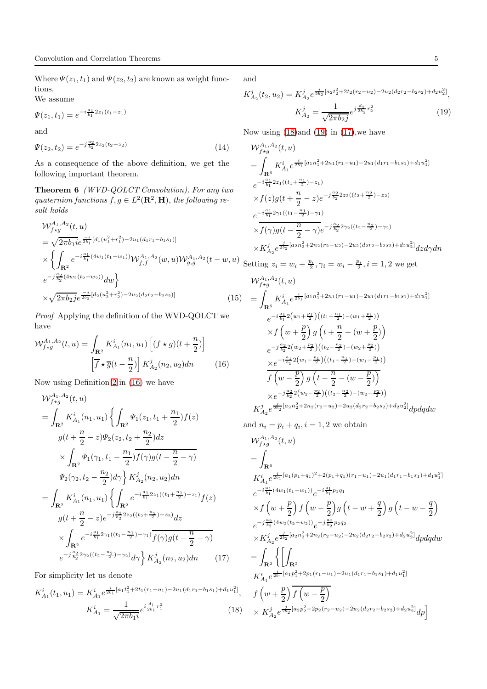Where  $\Psi(z_1, t_1)$  and  $\Psi(z_2, t_2)$  are known as weight functions.

We assume

$$
\Psi(z_1, t_1) = e^{-i\frac{a_1}{b_1}2z_1(t_1 - z_1)}
$$

and

$$
\Psi(z_2, t_2) = e^{-j\frac{a_2}{b_2}2z_2(t_2 - z_2)}\tag{14}
$$

<span id="page-4-5"></span>As a consequence of the above definition, we get the following important theorem.

Theorem 6 *(WVD-QOLCT Convolution). For any two* quaternion functions  $f, g \in L^2(\mathbf{R}^2, \mathbf{H})$ , the following re*sult holds*

$$
\mathcal{W}_{f*g}^{A_1, A_2}(t, u)
$$
\n
$$
= \sqrt{2\pi b_1 i} e^{\frac{-i}{2b_1}[d_1(u_1^2 + r_1^2) - 2u_1(d_1r_1 - b_1s_1)]}
$$
\n
$$
\times \left\{ \int_{\mathbf{R}^2} e^{-i\frac{a_1}{b_1}(4w_1(t_1 - w_1))} \mathcal{W}_{f,f}^{A_1, A_2}(w, u) \mathcal{W}_{g,g}^{A_1, A_2}(t - w, u) \right\}
$$
\n
$$
e^{-j\frac{a_2}{b_2}(4w_2(t_2 - w_2))} dw \right\}
$$
\n
$$
\times \sqrt{2\pi b_2 j} e^{\frac{-j}{2b_2}[d_2(u_2^2 + r_2^2) - 2u_2(d_2r_2 - b_2s_2)]}
$$
\n(15)

*Proof* Applying the definition of the WVD-QOLCT we have

<span id="page-4-0"></span>
$$
\mathcal{W}_{f\star g}^{A_1, A_2}(t, u) = \int_{\mathbf{R}^2} K_{A_1}^i(n_1, u_1) \left[ (f \star g)(t + \frac{n}{2}) \right] \left[ \overline{f} \star \overline{g}(t - \frac{n}{2}) \right] K_{A_2}^j(n_2, u_2) dn \tag{16}
$$

Now using Definition [2](#page-3-3) in [\(16\)](#page-4-0) we have

<span id="page-4-3"></span>
$$
\mathcal{W}_{f*g}^{A_1, A_2}(t, u)
$$
\n
$$
= \int_{\mathbf{R}^2} K_{A_1}^i(n_1, u_1) \left\{ \int_{\mathbf{R}^2} \Psi_1(z_1, t_1 + \frac{n_1}{2}) f(z) \right\}
$$
\n
$$
g(t + \frac{n}{2} - z) \Psi_2(z_2, t_2 + \frac{n_2}{2}) dz
$$
\n
$$
\times \int_{\mathbf{R}^2} \Psi_1(\gamma_1, t_1 - \frac{n_1}{2}) \overline{f(\gamma)} g(t - \frac{n}{2} - \gamma)
$$
\n
$$
\Psi_2(\gamma_2, t_2 - \frac{n_2}{2}) d\gamma \right\} K_{A_2}^j(n_2, u_2) dn
$$
\n
$$
= \int_{\mathbf{R}^2} K_{A_1}^i(n_1, u_1) \left\{ \int_{\mathbf{R}^2} e^{-i\frac{\alpha_1}{b_1} 2z_1((t_1 + \frac{n_1}{2}) - z_1)} f(z) \right\}
$$
\n
$$
g(t + \frac{n}{2} - z) e^{-j\frac{\alpha_2}{b_2} 2z_2((t_2 + \frac{n_2}{2}) - z_2)} dz
$$
\n
$$
\times \int_{\mathbf{R}^2} e^{-i\frac{\alpha_1}{b_1} 2\gamma_1((t_1 - \frac{n_1}{2}) - \gamma_1)} \overline{f(\gamma)} g(t - \frac{n}{2} - \gamma)
$$
\n
$$
e^{-j\frac{\alpha_2}{b_2} 2\gamma_2((t_2 - \frac{n_2}{2}) - \gamma_2)} d\gamma \right\} K_{A_2}^j(n_2, u_2) dn \qquad (17)
$$

For simplicity let us denote

<span id="page-4-1"></span>
$$
K_{A_1}^i(t_1, u_1) = K_{A_1}^i e^{\frac{i}{2b_1}[a_1t_1^2 + 2t_1(r_1 - u_1) - 2u_1(d_1r_1 - b_1s_1) + d_1u_1^2]},
$$
  

$$
K_{A_1}^i = \frac{1}{\sqrt{2\pi b_1 i}} e^{i\frac{d_1}{2b_1}r_1^2}
$$
 (18)

and

<span id="page-4-2"></span>
$$
K_{A_2}^j(t_2, u_2) = K_{A_2}^j e^{\frac{j}{2b_2}[a_2t_2^2 + 2t_2(r_2 - u_2) - 2u_2(d_2r_2 - b_2s_2) + d_2u_2^2]},
$$

$$
K_{A_2}^j = \frac{1}{\sqrt{2\pi b_{2j}}} e^{j\frac{d_2}{2b_2}r_2^2}
$$
\n(19)

Now using [\(18\)](#page-4-1)and [\(19\)](#page-4-2) in [\(17\)](#page-4-3),we have

$$
\begin{split}\n&\mathcal{W}^{A_1,A_2}_{f\star g}(t,u) \\
&= \int_{\mathbf{R}^6} K_{A_1}^i e^{\frac{i}{2b_1}[a_1n_1^2 + 2n_1(r_1 - u_1) - 2u_1(d_1r_1 - b_1s_1) + d_1u_1^2]} \\
&\quad e^{-i\frac{a_1}{b_1}2z_1((t_1 + \frac{n_1}{2}) - z_1)} \\
&\quad \times f(z)g(t + \frac{n}{2} - z)e^{-j\frac{a_2}{b_2}2z_2((t_2 + \frac{n_2}{2}) - z_2)} \\
&\quad e^{-i\frac{a_1}{b_1}2\gamma_1((t_1 - \frac{n_1}{2}) - \gamma_1)} \\
&\quad \times \overline{f(\gamma)}g(t - \frac{n}{2} - \gamma)e^{-j\frac{a_2}{b_2}2\gamma_2((t_2 - \frac{n_2}{2}) - \gamma_2)} \\
&\quad \times K_{A_2}^j e^{\frac{j}{2b_2}[a_2n_2^2 + 2n_2(r_2 - u_2) - 2u_2(d_2r_2 - b_2s_2) + d_2u_2^2]}dz d\gamma dn\n\end{split}
$$

Setting 
$$
z_i = w_i + \frac{p_i}{2}, \gamma_i = w_i - \frac{p_i}{2}, i = 1, 2
$$
 we get  $\mathcal{W}_{f \star g}^{A_1, A_2}(t, u)$ 

$$
= \int_{\mathbf{R}^6} K_{A_1}^i e^{\frac{i}{2b_1}[a_1n_1^2 + 2n_1(r_1 - u_1) - 2u_1(d_1r_1 - b_1s_1) + d_1u_1^2]}
$$
  
\n
$$
= e^{-i\frac{a_1}{b_1}2(w_1 + \frac{p_1}{2})((t_1 + \frac{n_1}{2}) - (w_1 + \frac{p_1}{2}))}
$$
  
\n
$$
\times f(w + \frac{p}{2}) g(t + \frac{n}{2} - (w + \frac{p}{2}))
$$
  
\n
$$
= e^{-j\frac{a_2}{b_2}2(w_2 + \frac{p_2}{2})((t_2 + \frac{n_2}{2}) - (w_2 + \frac{p_2}{2}))}
$$
  
\n
$$
\times e^{-i\frac{a_1}{b_1}2(w_1 - \frac{p_1}{2})((t_1 - \frac{n_1}{2}) - (w_1 - \frac{p_1}{2}))}
$$
  
\n
$$
f(w - \frac{p}{2}) g(t - \frac{n}{2} - (w - \frac{p}{2}))
$$
  
\n
$$
\times e^{-j\frac{a_2}{b_2}2(w_2 - \frac{p_2}{2})((t_2 - \frac{n_2}{2}) - (w_2 - \frac{p_2}{2}))}
$$
  
\n
$$
K_{A_2}^j e^{\frac{j}{2b_2}[a_2n_2^2 + 2n_2(r_2 - u_2) - 2u_2(d_2r_2 - b_2s_2) + d_2u_2^2]} dp dq dw
$$

and  $n_i = p_i + q_i$ ,  $i = 1, 2$  we obtain

<span id="page-4-4"></span>
$$
\mathcal{W}_{f*g}^{A_1,A_2}(t,u)
$$
\n=
$$
\int_{\mathbf{R}^6} K_{A_1}^i e^{\frac{i}{2b_1}[a_1(p_1+q_1)^2+2(p_1+q_1)(r_1-u_1)-2u_1(d_1r_1-b_1s_1)+d_1u_1^2]}\ne^{-i\frac{a_1}{b_1}(4w_1(t_1-w_1))}e^{-i\frac{a_1}{b_1}p_1q_1}\times f\left(w+\frac{p}{2}\right) \overline{f\left(w-\frac{p}{2}\right)}g\left(t-w+\frac{q}{2}\right) \overline{g\left(t-w-\frac{q}{2}\right)}\ne^{-j\frac{a_2}{b_2}(4w_2(t_2-w_2))}e^{-j\frac{a_2}{b_2}p_2q_2}\times K_{A_2}^j e^{\frac{j}{2b_2}[a_2n_2^2+2n_2(r_2-u_2)-2u_2(d_2r_2-b_2s_2)+d_2u_2^2]}dpdqdw\n=
$$
\int_{\mathbf{R}^2} \left\{ \left[ \int_{\mathbf{R}^2} K_{A_1}^i e^{\frac{i}{2b_1}[a_1p_1^2+2p_1(r_1-u_1)-2u_1(d_1r_1-b_1s_1)+d_1u_1^2]}\nf\left(w+\frac{p}{2}\right) \overline{f\left(w-\frac{p}{2}\right)}\right\} \right.
$$
$$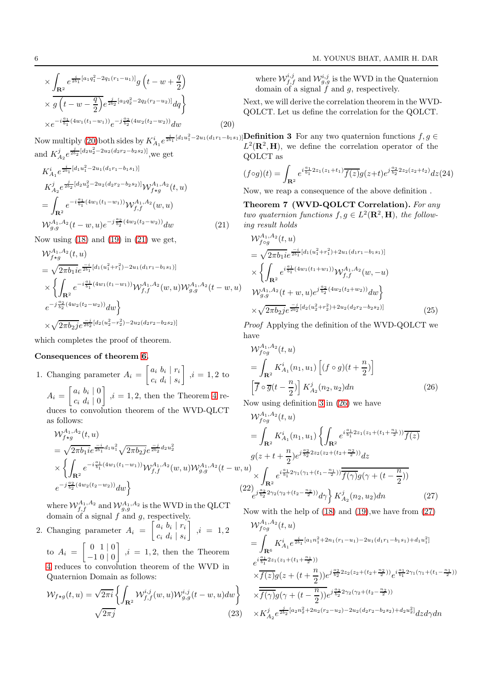$$
\times \int_{\mathbf{R}^2} e^{\frac{i}{2b_1}[a_1q_1^2 - 2q_1(r_1 - u_1)]} g\left(t - w + \frac{q}{2}\right)
$$
  
 
$$
\times g\left(t - w - \frac{q}{2}\right) e^{\frac{j}{2b_2}[a_2q_2^2 - 2q_2(r_2 - u_2)]} dq \}
$$
  
 
$$
\times e^{-i\frac{a_1}{b_1}(4w_1(t_1 - w_1))} e^{-j\frac{a_2}{b_2}(4w_2(t_2 - w_2))} dw
$$
 (20)

and  $K_{A_2}^j e^{\frac{j}{2b_2}[d_2u_2^2-2u_2(d_2r_2-b_2s_2)]}$ , we get

<span id="page-5-0"></span>
$$
K_{A_1}^i e^{\frac{i}{2b_1} [d_1 u_1^2 - 2u_1(d_1 r_1 - b_1 s_1)]}
$$
  
\n
$$
K_{A_2}^j e^{\frac{j}{2b_2} [d_2 u_2^2 - 2u_2(d_2 r_2 - b_2 s_2)]} W_{f \star g}^{A_1, A_2}(t, u)
$$
  
\n
$$
= \int_{\mathbf{R}^2} e^{-i\frac{a_1}{b_1} (4w_1(t_1 - w_1))} W_{f, f}^{A_1, A_2}(w, u)
$$
  
\n
$$
W_{g, g}^{A_1, A_2}(t - w, u) e^{-j\frac{a_2}{b_2} (4w_2(t_2 - w_2))} dw
$$
\n(21)

Now using  $(18)$  and  $(19)$  in  $(21)$  we get,

$$
\mathcal{W}_{f*g}^{A_1, A_2}(t, u)
$$
\n
$$
= \sqrt{2\pi b_1 i} e^{\frac{-i}{2b_1}[d_1(u_1^2 + r_1^2) - 2u_1(d_1r_1 - b_1s_1)]}
$$
\n
$$
\times \left\{ \int_{\mathbf{R}^2} e^{-i\frac{a_1}{b_1}(4w_1(t_1 - w_1))} \mathcal{W}_{f,f}^{A_1, A_2}(w, u) \mathcal{W}_{g,g}^{A_1, A_2}(t - w, u) \right\}
$$
\n
$$
e^{-j\frac{a_2}{b_2}(4w_2(t_2 - w_2))} dw \right\}
$$
\n
$$
\times \sqrt{2\pi b_2 j} e^{\frac{-j}{2b_2}[d_2(u_2^2 - r_2^2) - 2u_2(d_2r_2 - b_2s_2)]}
$$

which completes the proof of theorem.

#### Consequences of theorem [6.](#page-4-5)

1. Changing parameter  $A_i = \begin{bmatrix} a_i & b_i & r_i \\ a_i & d_i & c_i \end{bmatrix}$  $c_i d_i | s_i$  $\Big]$  ,  $i=1,2$  to  $A_i = \left[ \begin{array}{cc} a_i & b_i & 0 \\ a & d & 0 \end{array} \right]$  $c_i d_i \mid 0$  $\begin{bmatrix} i & 1, 2, \text{ then the Theorem 4 re-} \end{bmatrix}$  $\begin{bmatrix} i & 1, 2, \text{ then the Theorem 4 re-} \end{bmatrix}$  $\begin{bmatrix} i & 1, 2, \text{ then the Theorem 4 re-} \end{bmatrix}$ duces to convolution theorem of the WVD-QLCT as follows:

$$
\mathcal{W}_{f*g}^{A_1, A_2}(t, u)
$$
\n
$$
= \sqrt{2\pi b_1 i} e^{\frac{-i}{2b_1} d_1 u_1^2} \sqrt{2\pi b_2 j} e^{\frac{-j}{2b_2} d_2 u_2^2}
$$
\n
$$
\times \left\{ \int_{\mathbf{R}^2} e^{-i\frac{a_1}{b_1} (4w_1(t_1 - w_1))} \mathcal{W}_{f,f}^{A_1, A_2}(w, u) \mathcal{W}_{g,g}^{A_1, A_2}(t - w, u) \right\}
$$
\n
$$
e^{-j\frac{a_2}{b_2} (4w_2(t_2 - w_2))} dw \right\}
$$
\n(22)

where  $\mathcal{W}_{f,f}^{A_1,A_2}$  and  $\mathcal{W}_{g,g}^{A_1,A_2}$  is the WVD in the QLCT domain of a signal  $f$  and  $g$ , respectively.

2. Changing parameter  $A_i = \begin{bmatrix} a_i & b_i & r_i \\ a_i & d_i & c_i \end{bmatrix}$  $c_i d_i | s_i$  $\Big]$  ,  $i = 1, 2$ to  $A_i = \begin{bmatrix} 0 & 1 & 0 \\ 1 & 0 & 0 \end{bmatrix}$ −1 0 | 0  $\Big]$ ,  $i = 1, 2$ , then the Theorem [4](#page-2-1) reduces to convolution theorem of the WVD in Quaternion Domain as follows:

$$
\mathcal{W}_{f\star g}(t, u) = \sqrt{2\pi i} \left\{ \int_{\mathbf{R}^2} \mathcal{W}_{f,f}^{i,j}(w, u) \mathcal{W}_{g,g}^{i,j}(t-w, u) dw \right\}
$$

$$
\sqrt{2\pi j}
$$
(23)

where  $\mathcal{W}^{i,j}_{f,f}$  and  $\mathcal{W}^{i,j}_{g,g}$  is the WVD in the Quaternion domain of a signal  $f$  and  $g$ , respectively.

<span id="page-5-1"></span>Next, we will derive the correlation theorem in the WVD-QOLCT. Let us define the correlation for the QOLCT.

Now multiply [\(20\)](#page-4-4) both sides by  $K_{A_1}^i e^{\frac{i}{2b_1}[d_1u_1^2-2u_1(d_1r_1-b_1s_1)]}$ **Definition 3** For any two quaternion functions  $f, g \in L^2(\mathbf{R}^2, \mathbf{H})$  we define the correlation operator of the  $L^2(\mathbf{R}^2, \mathbf{H})$ , we define the correlation operator of the QOLCT as

$$
(f \circ g)(t) = \int_{\mathbf{R}^2} e^{i\frac{a_1}{b_1} 2z_1(z_1+t_1)} \overline{f(z)} g(z+t) e^{j\frac{a_2}{b_2} 2z_2(z_2+t_2)} dz (24)
$$

<span id="page-5-4"></span>Now, we reap a consequence of the above definition .

Theorem 7 (WVD-QOLCT Correlation). *For any two quaternion functions*  $f, g \in L^2(\mathbf{R}^2, \mathbf{H})$ , *the following result holds*

$$
\mathcal{W}_{f \circ g}^{A_1, A_2}(t, u)
$$
\n
$$
= \sqrt{2\pi b_1 i} e^{\frac{-i}{2b_1} [d_1(u_1^2 + r_1^2) + 2u_1(d_1r_1 - b_1s_1)]}
$$
\n
$$
\times \left\{ \int_{\mathbf{R}^2} e^{i\frac{a_1}{b_1} (4w_1(t_1 + w_1))} \mathcal{W}_{f, f}^{A_1, A_2}(w, -u)
$$
\n
$$
\mathcal{W}_{g, g}^{A_1, A_2}(t + w, u) e^{j\frac{a_2}{b_2} (4w_2(t_2 + w_2))} dw \right\}
$$
\n
$$
\times \sqrt{2\pi b_2 j} e^{\frac{-j}{2b_2} [d_2(u_2^2 + r_2^2) + 2u_2(d_2r_2 - b_2s_2)]}
$$
\n(25)

*Proof* Applying the definition of the WVD-QOLCT we have

<span id="page-5-2"></span>
$$
\mathcal{W}_{f \circ g}^{A_1, A_2}(t, u)
$$
  
= 
$$
\int_{\mathbf{R}^2} K_{A_1}^i(n_1, u_1) \left[ (f \circ g)(t + \frac{n}{2}) \right]
$$
  

$$
\left[ \overline{f} \circ \overline{g}(t - \frac{n}{2}) \right] K_{A_2}^j(n_2, u_2) dn
$$
 (26)

Now using definition [3](#page-5-1) in [\(26\)](#page-5-2) we have

<span id="page-5-3"></span>
$$
\mathcal{W}_{fog}^{A_1, A_2}(t, u)
$$
\n
$$
= \int_{\mathbf{R}^2} K_{A_1}^i(n_1, u_1) \left\{ \int_{\mathbf{R}^2} e^{i\frac{a_1}{b_1} 2z_1(z_1 + (t_1 + \frac{n_1}{2}))} \overline{f(z)} \right\}
$$
\n
$$
g(z + t + \frac{n}{2}) e^{j\frac{a_2}{b_2} 2z_2(z_2 + (t_2 + \frac{n_2}{2}))} dz
$$
\n
$$
u) \times \int_{\mathbf{R}^2} e^{i\frac{a_1}{b_1} 2\gamma_1(\gamma_1 + (t_1 - \frac{n_1}{2}))} \overline{f(\gamma)} g(\gamma + (t - \frac{n}{2}))
$$
\n
$$
22 \int_{e^{j\frac{a_2}{b_2} 2\gamma_2(\gamma_2 + (t_2 - \frac{n_2}{2}))} d\gamma \left\} K_{A_2}^j(n_2, u_2) dn
$$
\n
$$
(27)
$$

Now with the help of [\(18\)](#page-4-1) and [\(19\)](#page-4-2),we have from [\(27\)](#page-5-3)

$$
\mathcal{W}_{f \circ g}^{A_1, A_2}(t, u)
$$
\n
$$
= \int_{\mathbf{R}^6} K_{A_1}^i e^{\frac{i}{2b_1} [a_1 n_1^2 + 2n_1(r_1 - u_1) - 2u_1(d_1 r_1 - b_1 s_1) + d_1 u_1^2]}
$$
\n
$$
e^{i \frac{a_1}{b_1} 2z_1(z_1 + (t_1 + \frac{n_1}{2}))}
$$
\n
$$
\times \overline{f(z)} g(z + (t + \frac{n}{2})) e^{j \frac{a_2}{b_2} 2z_2(z_2 + (t_2 + \frac{n_2}{2}))} e^{i \frac{a_1}{b_1} 2\gamma_1(\gamma_1 + (t_1 - \frac{n_1}{2}))}
$$
\n
$$
\times \overline{f(\gamma)} g(\gamma + (t - \frac{n}{2})) e^{j \frac{a_2}{b_2} 2\gamma_2(\gamma_2 + (t_2 - \frac{n_2}{2}))}
$$
\n
$$
\times K_{A_2}^j e^{\frac{j}{2b_2} [a_2 n_2^2 + 2n_2(r_2 - u_2) - 2u_2(d_2 r_2 - b_2 s_2) + d_2 u_2^2]} dz d\gamma dn
$$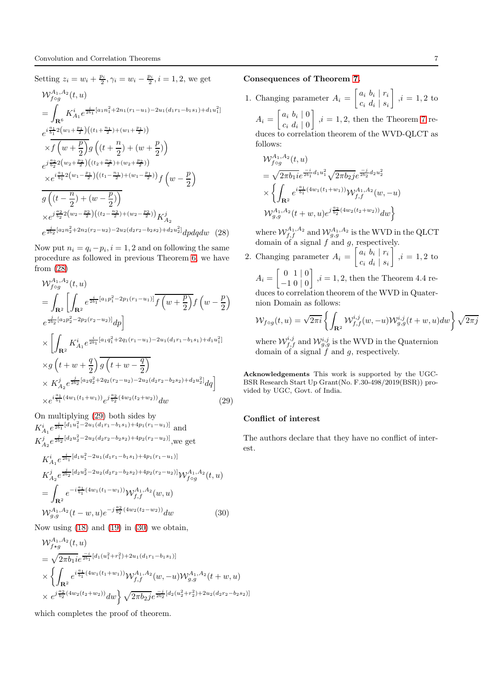<span id="page-6-0"></span>Setting  $z_i = w_i + \frac{p_i}{2}, \gamma_i = w_i - \frac{p_i}{2}, i = 1, 2$ , we get  $\mathcal{W}_{f \circ g}^{A_1,A_2}(t,u)$  $=$   $\overline{ }$  $\mathbf{R}^6$  $K_{A_1}^i e^{\frac{i}{2b_1}[a_1n_1^2+2n_1(r_1-u_1)-2u_1(d_1r_1-b_1s_1)+d_1u_1^2]}$  $e^{i\frac{a_1}{b_1}2\left(w_1+\frac{p_1}{2}\right)\left((t_1+\frac{n_1}{2})+(w_1+\frac{p_1}{2})\right)}$  $\times f\left(w+\frac{p}{2}\right)$ 2  $\overline{g}\left((t+\frac{n}{2})\right)$  $\frac{n}{2}$ ) + (w +  $\frac{p}{2}$  $\left(\frac{p}{2}\right)$  $e^{j\frac{a_2}{b_2}2\left(w_2+\frac{p_2}{2}\right)\left((t_2+\frac{n_2}{2})+(w_2+\frac{p_2}{2})\right)}$  $\times e^{i\frac{a_1}{b_1}2\left(w_1-\frac{p_1}{2}\right)\left((t_1-\frac{n_1}{2})+(w_1-\frac{p_1}{2})\right)}f\left(w-\frac{p}{2}\right)$ 2  $\setminus$  $g\left((t-\frac{n}{2}\right)$  $\frac{n}{2}$ ) + (w -  $\frac{p}{2}$ )  $\frac{p}{2})$  $\times e^{j\frac{a_2}{b_2}2\left(w_2-\frac{p_2}{2}\right)\left((t_2-\frac{n_2}{2})+(w_2-\frac{p_2}{2})\right)}K_{A_2}^j$  $e^{\frac{i}{2b_2}[a_2n_2^2+2n_2(r_2-u_2)-2u_2(d_2r_2-b_2s_2)+d_2u_2^2]}dpdqdw$  (28)

Now put  $n_i = q_i - p_i$ ,  $i = 1, 2$  and on following the same procedure as followed in previous Theorem [6,](#page-4-5) we have from [\(28\)](#page-6-0)

<span id="page-6-1"></span>
$$
\mathcal{W}_{f \circ g}^{A_1, A_2}(t, u)
$$
\n
$$
= \int_{\mathbf{R}^2} \left[ \int_{\mathbf{R}^2} e^{\frac{i}{2b_1} [a_1 p_1^2 - 2p_1(r_1 - u_1)]} \overline{f(w + \frac{p}{2})} f(w - \frac{p}{2}) \right]
$$
\n
$$
e^{\frac{i}{2b_2} [a_2 p_2^2 - 2p_2(r_2 - u_2)]} dp
$$
\n
$$
\times \left[ \int_{\mathbf{R}^2} K_{A_1}^i e^{\frac{i}{2b_1} [a_1 q_1^2 + 2q_1(r_1 - u_1) - 2u_1(d_1 r_1 - b_1 s_1) + d_1 u_1^2]} \right]
$$
\n
$$
\times g(v + w + \frac{q}{2}) \overline{g(v + w - \frac{q}{2})}
$$
\n
$$
\times K_{A_2}^j e^{\frac{j}{2b_2} [a_2 q_2^2 + 2q_2(r_2 - u_2) - 2u_2(d_2 r_2 - b_2 s_2) + d_2 u_2^2]} dq
$$
\n
$$
\times e^{i \frac{a_1}{b_1} (4w_1(t_1 + w_1))} e^{j \frac{a_2}{b_2} (4w_2(t_2 + w_2))} dw
$$
\n(29)

<span id="page-6-2"></span>On multiplying [\(29\)](#page-6-1) both sides by  $K_{A_1}^i e^{\frac{i}{2b_1}[d_1u_1^2-2u_1(d_1r_1-b_1s_1)+4p_1(r_1-u_1)]}$  and  $K_{A_2}^j e^{\frac{j}{2b_2}[d_2u_2^2 - 2u_2(d_2r_2 - b_2s_2) + 4p_2(r_2 - u_2)]}$ , we get  $K_{A_1}^i e^{\frac{i}{2b_1}[d_1u_1^2-2u_1(d_1r_1-b_1s_1)+4p_1(r_1-u_1)]}$  $K^j_{A_2}e^{\frac{j}{2b_2}[d_2u_2^2-2u_2(d_2r_2-b_2s_2)+4p_2(r_2-u_2)]}\mathcal{W}^{A_1,A_2}_{f\circ g}(t,u)$  $=$   $\overline{ }$  $\mathbf{R}^2$  $e^{-i\frac{a_1}{b_1}(4w_1(t_1-w_1))}\mathcal{W}_{f,f}^{A_1,A_2}(w,u)$  $\mathcal{W}_{g,g}^{A_1,A_2}(t-w,u)e^{-j\frac{a_2}{b_2}(4w_2(t_2-w_2))}dw$  (30)

Now using  $(18)$  and  $(19)$  in  $(30)$  we obtain,

$$
\mathcal{W}_{f*g}^{A_1, A_2}(t, u)
$$
\n
$$
= \sqrt{2\pi b_1 i} e^{\frac{-i}{2b_1}[d_1(u_1^2 + r_1^2) + 2u_1(d_1r_1 - b_1s_1)]}
$$
\n
$$
\times \left\{ \int_{\mathbf{R}^2} e^{i\frac{a_1}{b_1}(4w_1(t_1 + w_1))} \mathcal{W}_{f,f}^{A_1, A_2}(w, -u) \mathcal{W}_{g,g}^{A_1, A_2}(t + w, u) \right\}
$$
\n
$$
\times e^{j\frac{a_2}{b_2}(4w_2(t_2 + w_2))} dw \left\{ \sqrt{2\pi b_2 j} e^{\frac{-j}{2b_2}[d_2(u_2^2 + r_2^2) + 2u_2(d_2r_2 - b_2s_2)]} \right\}
$$

which completes the proof of theorem.

## Consequences of Theorem [7.](#page-5-4)

1. Changing parameter  $A_i = \begin{bmatrix} a_i & b_i & r_i \\ a_i & d_i & a_i \end{bmatrix}$  $c_i d_i | s_i$  $\Big]$  ,  $i=1,2$  to

 $A_i = \left[ \begin{array}{cc} a_i & b_i & 0 \\ a_i & d_i & 0 \end{array} \right]$  $c_i d_i \mid 0$  $\Big\}, i = 1, 2$ , then the Theorem [7](#page-5-4) reduces to correlation theorem of the WVD-QLCT as follows:

$$
\mathcal{W}_{f \circ g}^{A_1, A_2}(t, u)
$$
\n
$$
= \sqrt{2\pi b_1 i} e^{\frac{-i}{2b_1} d_1 u_1^2} \sqrt{2\pi b_2 j} e^{\frac{-j}{2b_2} d_2 u_2^2}
$$
\n
$$
\times \left\{ \int_{\mathbf{R}^2} e^{i \frac{a_1}{b_1} (4w_1(t_1 + w_1))} \mathcal{W}_{f, f}^{A_1, A_2}(w, -u) \right\}
$$
\n
$$
\mathcal{W}_{g, g}^{A_1, A_2}(t + w, u) e^{j \frac{a_2}{b_2} (4w_2(t_2 + w_2))} dw \right\}
$$

where  $\mathcal{W}_{f,f}^{A_1,A_2}$  and  $\mathcal{W}_{g,g}^{A_1,A_2}$  is the WVD in the QLCT domain of a signal  $f$  and  $g$ , respectively.

2. Changing parameter 
$$
A_i = \begin{bmatrix} a_i & b_i & r_i \\ c_i & d_i & s_i \end{bmatrix}
$$
,  $i = 1, 2$  to

 $A_i = \left[ \begin{array}{cc} 0 & 1 & 0 \\ 1 & 0 & 0 \end{array} \right]$ −1 0 | 0  $\begin{bmatrix} 1, i = 1, 2, \text{ then the Theorem 4.4 respectively.} \end{bmatrix}$ duces to correlation theorem of the WVD in Quaternion Domain as follows:

$$
\mathcal{W}_{f \circ g}(t, u) = \sqrt{2\pi i} \left\{ \int_{\mathbf{R}^2} \mathcal{W}_{f, f}^{i, j}(w, -u) \mathcal{W}_{g, g}^{i, j}(t+w, u) dw \right\} \sqrt{2\pi j}
$$

where  $\mathcal{W}^{i,j}_{f,f}$  and  $\mathcal{W}^{i,j}_{g,g}$  is the WVD in the Quaternion domain of a signal  $\tilde{f}$  and g, respectively.

Acknowledgements This work is supported by the UGC-BSR Research Start Up Grant(No. F.30-498/2019(BSR)) provided by UGC, Govt. of India.

## Conflict of interest

The authors declare that they have no conflict of interest.